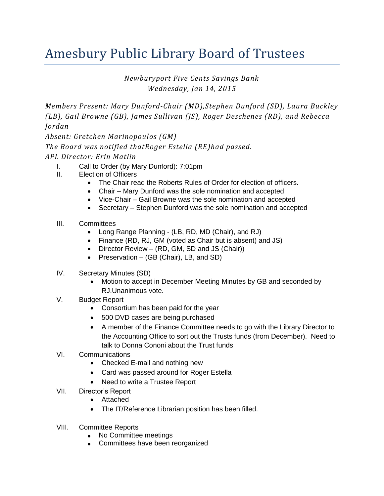## Amesbury Public Library Board of Trustees

*Newburyport Five Cents Savings Bank Wednesday, Jan 14, 2015*

*Members Present: Mary Dunford-Chair (MD),Stephen Dunford (SD), Laura Buckley (LB), Gail Browne (GB), James Sullivan (JS), Roger Deschenes (RD), and Rebecca Jordan*

*Absent: Gretchen Marinopoulos (GM)*

*The Board was notified thatRoger Estella (RE)had passed. APL Director: Erin Matlin* 

- I. Call to Order (by Mary Dunford): 7:01pm
- II. Election of Officers
	- The Chair read the Roberts Rules of Order for election of officers.
	- Chair Mary Dunford was the sole nomination and accepted
	- Vice-Chair Gail Browne was the sole nomination and accepted
	- Secretary Stephen Dunford was the sole nomination and accepted
- III. Committees
	- Long Range Planning (LB, RD, MD (Chair), and RJ)
	- Finance (RD, RJ, GM (voted as Chair but is absent) and JS)
	- Director Review (RD, GM, SD and JS (Chair))
	- Preservation (GB (Chair), LB, and SD)
- IV. Secretary Minutes (SD)
	- Motion to accept in December Meeting Minutes by GB and seconded by RJ.Unanimous vote.
- V. Budget Report
	- Consortium has been paid for the year
	- 500 DVD cases are being purchased
	- A member of the Finance Committee needs to go with the Library Director to the Accounting Office to sort out the Trusts funds (from December). Need to talk to Donna Cononi about the Trust funds
- VI. Communications
	- Checked E-mail and nothing new
	- Card was passed around for Roger Estella
	- Need to write a Trustee Report
- VII. Director's Report
	- Attached
	- The IT/Reference Librarian position has been filled.
- VIII. Committee Reports
	- No Committee meetings
	- Committees have been reorganized